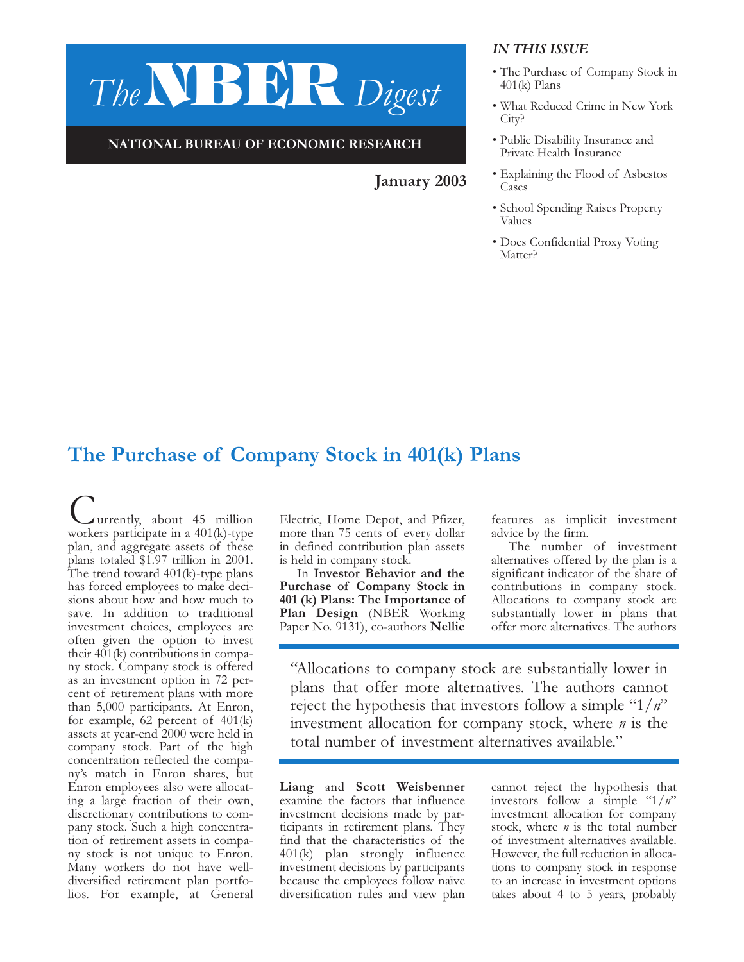# The**NBER** Digest

#### NATIONAL BUREAU OF ECONOMIC RESEARCH

January 2003

#### IN THIS ISSUE

- The Purchase of Company Stock in 401(k) Plans
- What Reduced Crime in New York City?
- Public Disability Insurance and Private Health Insurance
- Explaining the Flood of Asbestos Cases
- School Spending Raises Property Values
- Does Confidential Proxy Voting Matter?

## The Purchase of Company Stock in 401(k) Plans

urrently, about 45 million workers participate in a 401(k)-type plan, and aggregate assets of these plans totaled \$1.97 trillion in 2001. The trend toward  $401(k)$ -type plans has forced employees to make decisions about how and how much to save. In addition to traditional investment choices, employees are often given the option to invest their 401(k) contributions in company stock. Company stock is offered as an investment option in 72 percent of retirement plans with more than 5,000 participants. At Enron, for example, 62 percent of 401(k) assets at year-end 2000 were held in company stock. Part of the high concentration reflected the company's match in Enron shares, but Enron employees also were allocating a large fraction of their own, discretionary contributions to company stock. Such a high concentration of retirement assets in company stock is not unique to Enron. Many workers do not have welldiversified retirement plan portfolios. For example, at General

Electric, Home Depot, and Pfizer, more than 75 cents of every dollar in defined contribution plan assets is held in company stock.

In Investor Behavior and the Purchase of Company Stock in 401 (k) Plans: The Importance of Plan Design (NBER Working Paper No. 9131), co-authors Nellie

features as implicit investment advice by the firm.

The number of investment alternatives offered by the plan is a significant indicator of the share of contributions in company stock. Allocations to company stock are substantially lower in plans that offer more alternatives. The authors

"Allocations to company stock are substantially lower in plans that offer more alternatives. The authors cannot reject the hypothesis that investors follow a simple " $1/n$ " investment allocation for company stock, where  $n$  is the total number of investment alternatives available."

Liang and Scott Weisbenner examine the factors that influence investment decisions made by participants in retirement plans. They find that the characteristics of the 401(k) plan strongly influence investment decisions by participants because the employees follow naïve diversification rules and view plan cannot reject the hypothesis that investors follow a simple " $1/n$ " investment allocation for company stock, where  $n$  is the total number of investment alternatives available. However, the full reduction in allocations to company stock in response to an increase in investment options takes about 4 to 5 years, probably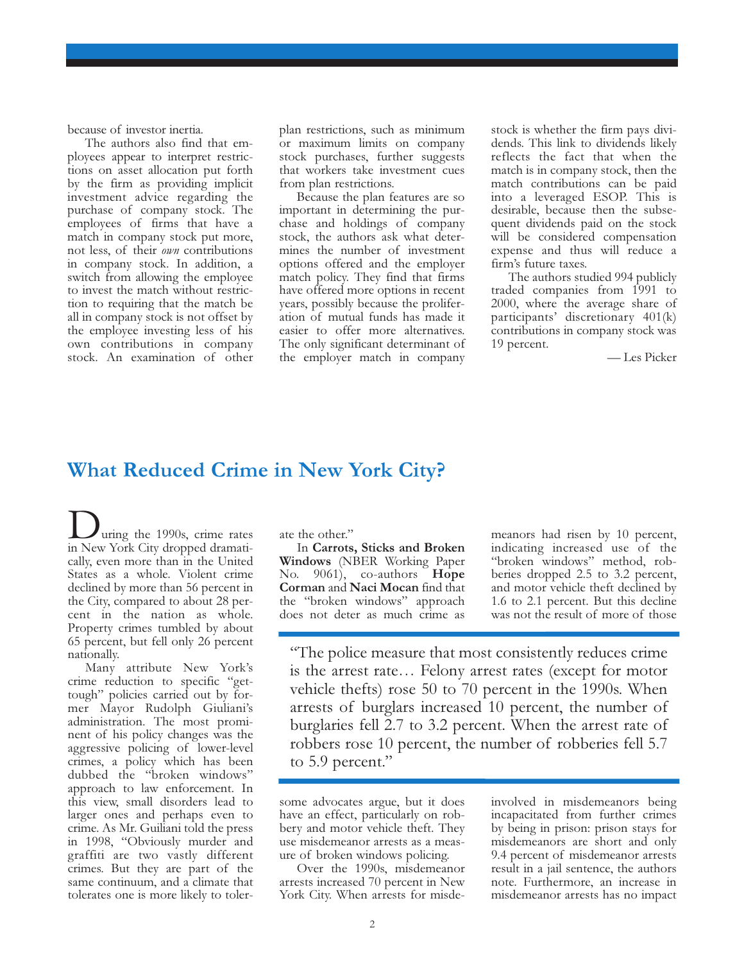because of investor inertia.

The authors also find that employees appear to interpret restrictions on asset allocation put forth by the firm as providing implicit investment advice regarding the purchase of company stock. The employees of firms that have a match in company stock put more, not less, of their own contributions in company stock. In addition, a switch from allowing the employee to invest the match without restriction to requiring that the match be all in company stock is not offset by the employee investing less of his own contributions in company stock. An examination of other plan restrictions, such as minimum or maximum limits on company stock purchases, further suggests that workers take investment cues from plan restrictions.

Because the plan features are so important in determining the purchase and holdings of company stock, the authors ask what determines the number of investment options offered and the employer match policy. They find that firms have offered more options in recent years, possibly because the proliferation of mutual funds has made it easier to offer more alternatives. The only significant determinant of the employer match in company stock is whether the firm pays dividends. This link to dividends likely reflects the fact that when the match is in company stock, then the match contributions can be paid into a leveraged ESOP. This is desirable, because then the subsequent dividends paid on the stock will be considered compensation expense and thus will reduce a firm's future taxes.

The authors studied 994 publicly traded companies from 1991 to 2000, where the average share of participants' discretionary 401(k) contributions in company stock was 19 percent.

— Les Picker

#### What Reduced Crime in New York City?

uring the 1990s, crime rates in New York City dropped dramatically, even more than in the United States as a whole. Violent crime declined by more than 56 percent in the City, compared to about 28 percent in the nation as whole. Property crimes tumbled by about 65 percent, but fell only 26 percent nationally.

Many attribute New York's crime reduction to specific "gettough" policies carried out by former Mayor Rudolph Giuliani's administration. The most prominent of his policy changes was the aggressive policing of lower-level crimes, a policy which has been dubbed the "broken windows" approach to law enforcement. In this view, small disorders lead to larger ones and perhaps even to crime. As Mr. Guiliani told the press in 1998, "Obviously murder and graffiti are two vastly different crimes. But they are part of the same continuum, and a climate that tolerates one is more likely to tolerate the other."

In Carrots, Sticks and Broken Windows (NBER Working Paper No. 9061), co-authors **Hope** Corman and Naci Mocan find that the "broken windows" approach does not deter as much crime as meanors had risen by 10 percent, indicating increased use of the "broken windows" method, robberies dropped 2.5 to 3.2 percent, and motor vehicle theft declined by 1.6 to 2.1 percent. But this decline was not the result of more of those

"The police measure that most consistently reduces crime is the arrest rate… Felony arrest rates (except for motor vehicle thefts) rose 50 to 70 percent in the 1990s. When arrests of burglars increased 10 percent, the number of burglaries fell 2.7 to 3.2 percent. When the arrest rate of robbers rose 10 percent, the number of robberies fell 5.7 to 5.9 percent."

some advocates argue, but it does have an effect, particularly on robbery and motor vehicle theft. They use misdemeanor arrests as a measure of broken windows policing.

Over the 1990s, misdemeanor arrests increased 70 percent in New York City. When arrests for misdeinvolved in misdemeanors being incapacitated from further crimes by being in prison: prison stays for misdemeanors are short and only 9.4 percent of misdemeanor arrests result in a jail sentence, the authors note. Furthermore, an increase in misdemeanor arrests has no impact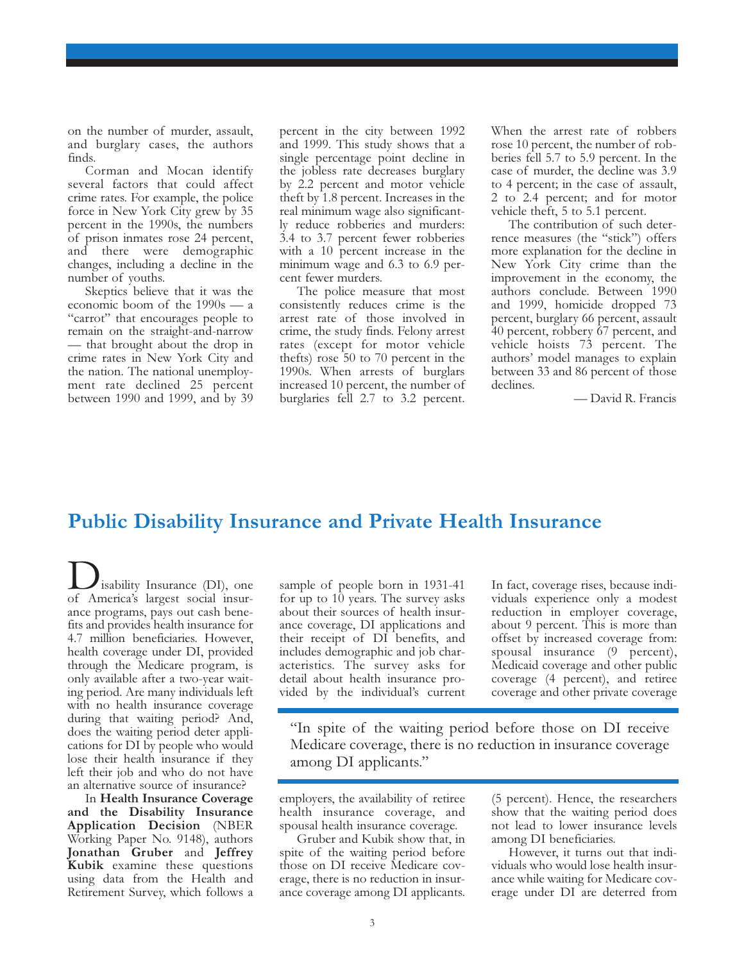on the number of murder, assault, and burglary cases, the authors finds.

Corman and Mocan identify several factors that could affect crime rates. For example, the police force in New York City grew by 35 percent in the 1990s, the numbers of prison inmates rose 24 percent, and there were demographic changes, including a decline in the number of youths.

Skeptics believe that it was the economic boom of the 1990s — a "carrot" that encourages people to remain on the straight-and-narrow — that brought about the drop in crime rates in New York City and the nation. The national unemployment rate declined 25 percent between 1990 and 1999, and by 39 percent in the city between 1992 and 1999. This study shows that a single percentage point decline in the jobless rate decreases burglary by 2.2 percent and motor vehicle theft by 1.8 percent. Increases in the real minimum wage also significantly reduce robberies and murders: 3.4 to 3.7 percent fewer robberies with a 10 percent increase in the minimum wage and 6.3 to 6.9 percent fewer murders.

The police measure that most consistently reduces crime is the arrest rate of those involved in crime, the study finds. Felony arrest rates (except for motor vehicle thefts) rose 50 to 70 percent in the 1990s. When arrests of burglars increased 10 percent, the number of burglaries fell 2.7 to 3.2 percent.

When the arrest rate of robbers rose 10 percent, the number of robberies fell 5.7 to 5.9 percent. In the case of murder, the decline was 3.9 to 4 percent; in the case of assault, 2 to 2.4 percent; and for motor vehicle theft, 5 to 5.1 percent.

The contribution of such deterrence measures (the "stick") offers more explanation for the decline in New York City crime than the improvement in the economy, the authors conclude. Between 1990 and 1999, homicide dropped 73 percent, burglary 66 percent, assault 40 percent, robbery 67 percent, and vehicle hoists 73 percent. The authors' model manages to explain between 33 and 86 percent of those declines.

— David R. Francis

#### Public Disability Insurance and Private Health Insurance

isability Insurance (DI), one of America's largest social insurance programs, pays out cash benefits and provides health insurance for 4.7 million beneficiaries. However, health coverage under DI, provided through the Medicare program, is only available after a two-year waiting period. Are many individuals left with no health insurance coverage during that waiting period? And, does the waiting period deter applications for DI by people who would lose their health insurance if they left their job and who do not have an alternative source of insurance?

In Health Insurance Coverage and the Disability Insurance Application Decision (NBER Working Paper No. 9148), authors Jonathan Gruber and Jeffrey Kubik examine these questions using data from the Health and Retirement Survey, which follows a

sample of people born in 1931-41 for up to 10 years. The survey asks about their sources of health insurance coverage, DI applications and their receipt of DI benefits, and includes demographic and job characteristics. The survey asks for detail about health insurance provided by the individual's current

In fact, coverage rises, because individuals experience only a modest reduction in employer coverage, about 9 percent. This is more than offset by increased coverage from: spousal insurance (9 percent), Medicaid coverage and other public coverage (4 percent), and retiree coverage and other private coverage

"In spite of the waiting period before those on DI receive Medicare coverage, there is no reduction in insurance coverage among DI applicants."

employers, the availability of retiree health insurance coverage, and spousal health insurance coverage.

Gruber and Kubik show that, in spite of the waiting period before those on DI receive Medicare coverage, there is no reduction in insurance coverage among DI applicants.

(5 percent). Hence, the researchers show that the waiting period does not lead to lower insurance levels among DI beneficiaries.

However, it turns out that individuals who would lose health insurance while waiting for Medicare coverage under DI are deterred from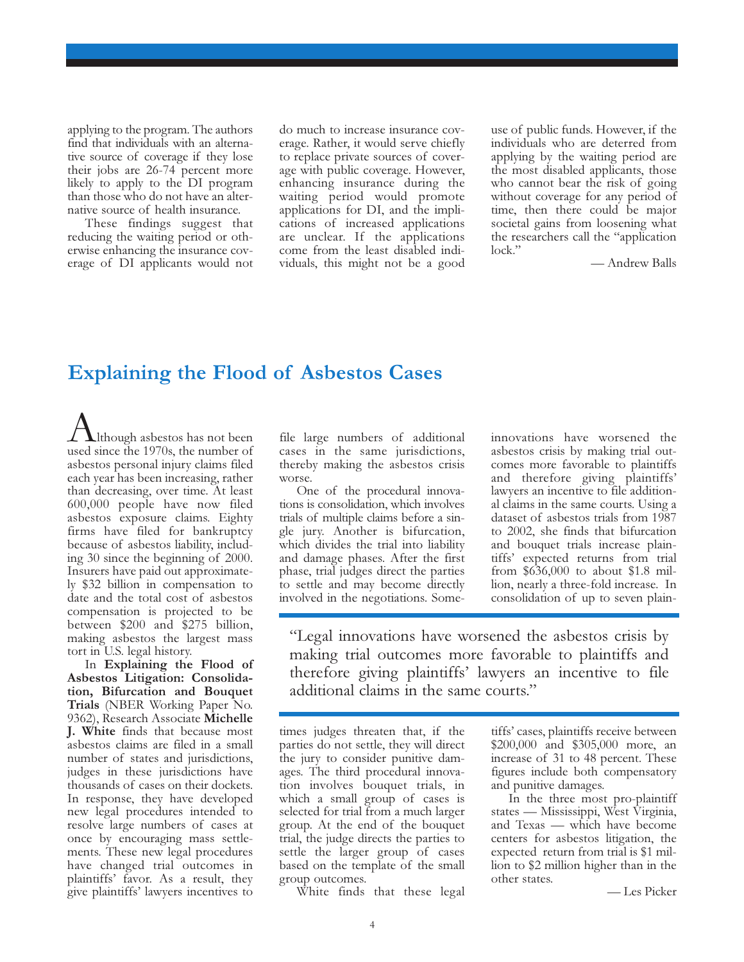applying to the program. The authors find that individuals with an alternative source of coverage if they lose their jobs are 26-74 percent more likely to apply to the DI program than those who do not have an alternative source of health insurance.

These findings suggest that reducing the waiting period or otherwise enhancing the insurance coverage of DI applicants would not

do much to increase insurance coverage. Rather, it would serve chiefly to replace private sources of coverage with public coverage. However, enhancing insurance during the waiting period would promote applications for DI, and the implications of increased applications are unclear. If the applications come from the least disabled individuals, this might not be a good use of public funds. However, if the individuals who are deterred from applying by the waiting period are the most disabled applicants, those who cannot bear the risk of going without coverage for any period of time, then there could be major societal gains from loosening what the researchers call the "application lock."

— Andrew Balls

#### Explaining the Flood of Asbestos Cases

 $\perp$  **L** though asbestos has not been used since the 1970s, the number of asbestos personal injury claims filed each year has been increasing, rather than decreasing, over time. At least 600,000 people have now filed asbestos exposure claims. Eighty firms have filed for bankruptcy because of asbestos liability, including 30 since the beginning of 2000. Insurers have paid out approximately \$32 billion in compensation to date and the total cost of asbestos compensation is projected to be between \$200 and \$275 billion, making asbestos the largest mass tort in U.S. legal history.

In Explaining the Flood of Asbestos Litigation: Consolidation, Bifurcation and Bouquet Trials (NBER Working Paper No. 9362), Research Associate Michelle J. White finds that because most asbestos claims are filed in a small number of states and jurisdictions, judges in these jurisdictions have thousands of cases on their dockets. In response, they have developed new legal procedures intended to resolve large numbers of cases at once by encouraging mass settlements. These new legal procedures have changed trial outcomes in plaintiffs' favor. As a result, they give plaintiffs' lawyers incentives to

file large numbers of additional cases in the same jurisdictions, thereby making the asbestos crisis worse.

One of the procedural innovations is consolidation, which involves trials of multiple claims before a single jury. Another is bifurcation, which divides the trial into liability and damage phases. After the first phase, trial judges direct the parties to settle and may become directly involved in the negotiations. Someinnovations have worsened the asbestos crisis by making trial outcomes more favorable to plaintiffs and therefore giving plaintiffs' lawyers an incentive to file additional claims in the same courts. Using a dataset of asbestos trials from 1987 to 2002, she finds that bifurcation and bouquet trials increase plaintiffs' expected returns from trial from \$636,000 to about \$1.8 million, nearly a three-fold increase. In consolidation of up to seven plain-

"Legal innovations have worsened the asbestos crisis by making trial outcomes more favorable to plaintiffs and therefore giving plaintiffs' lawyers an incentive to file additional claims in the same courts."

times judges threaten that, if the parties do not settle, they will direct the jury to consider punitive damages. The third procedural innovation involves bouquet trials, in which a small group of cases is selected for trial from a much larger group. At the end of the bouquet trial, the judge directs the parties to settle the larger group of cases based on the template of the small group outcomes.

tiffs' cases, plaintiffs receive between \$200,000 and \$305,000 more, an increase of 31 to 48 percent. These figures include both compensatory and punitive damages.

In the three most pro-plaintiff states — Mississippi, West Virginia, and Texas — which have become centers for asbestos litigation, the expected return from trial is \$1 million to \$2 million higher than in the other states.

— Les Picker

White finds that these legal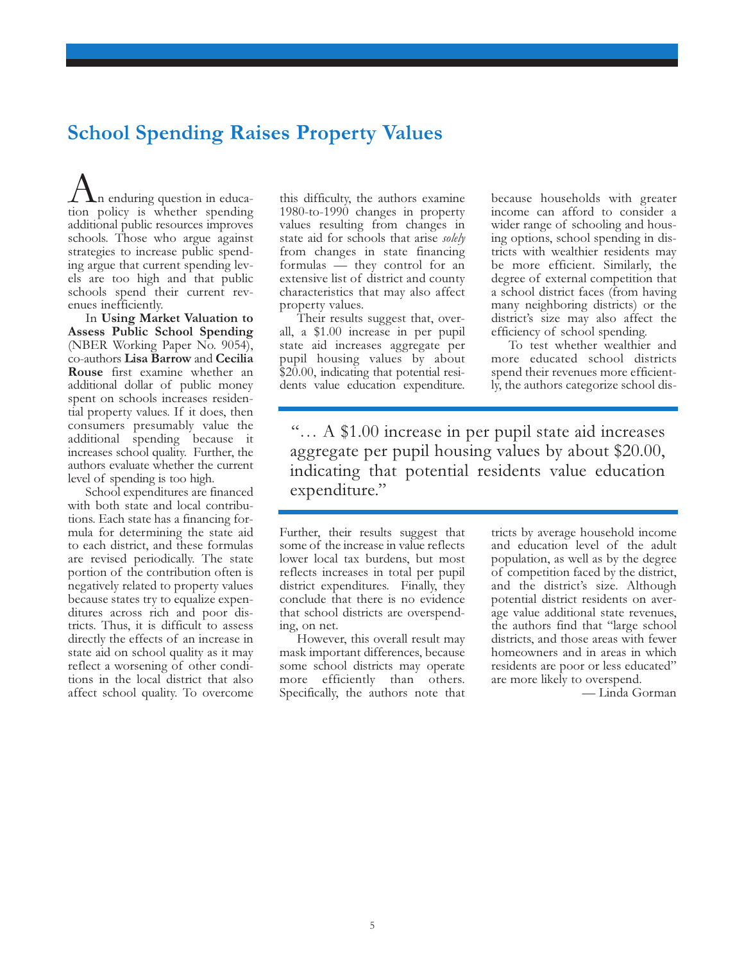## School Spending Raises Property Values

 $\angle$  **\**n enduring question in education policy is whether spending additional public resources improves schools. Those who argue against strategies to increase public spending argue that current spending levels are too high and that public schools spend their current revenues inefficiently.

In Using Market Valuation to Assess Public School Spending (NBER Working Paper No. 9054), co-authors Lisa Barrow and Cecilia Rouse first examine whether an additional dollar of public money spent on schools increases residential property values. If it does, then consumers presumably value the additional spending because it increases school quality. Further, the authors evaluate whether the current level of spending is too high.

School expenditures are financed with both state and local contributions. Each state has a financing formula for determining the state aid to each district, and these formulas are revised periodically. The state portion of the contribution often is negatively related to property values because states try to equalize expenditures across rich and poor districts. Thus, it is difficult to assess directly the effects of an increase in state aid on school quality as it may reflect a worsening of other conditions in the local district that also affect school quality. To overcome

this difficulty, the authors examine 1980-to-1990 changes in property values resulting from changes in state aid for schools that arise solely from changes in state financing formulas — they control for an extensive list of district and county characteristics that may also affect property values.

Their results suggest that, overall, a \$1.00 increase in per pupil state aid increases aggregate per pupil housing values by about \$20.00, indicating that potential residents value education expenditure. because households with greater income can afford to consider a wider range of schooling and housing options, school spending in districts with wealthier residents may be more efficient. Similarly, the degree of external competition that a school district faces (from having many neighboring districts) or the district's size may also affect the efficiency of school spending.

To test whether wealthier and more educated school districts spend their revenues more efficiently, the authors categorize school dis-

"… A \$1.00 increase in per pupil state aid increases aggregate per pupil housing values by about \$20.00, indicating that potential residents value education expenditure."

Further, their results suggest that some of the increase in value reflects lower local tax burdens, but most reflects increases in total per pupil district expenditures. Finally, they conclude that there is no evidence that school districts are overspending, on net.

However, this overall result may mask important differences, because some school districts may operate more efficiently than others. Specifically, the authors note that tricts by average household income and education level of the adult population, as well as by the degree of competition faced by the district, and the district's size. Although potential district residents on average value additional state revenues, the authors find that "large school districts, and those areas with fewer homeowners and in areas in which residents are poor or less educated" are more likely to overspend.

— Linda Gorman